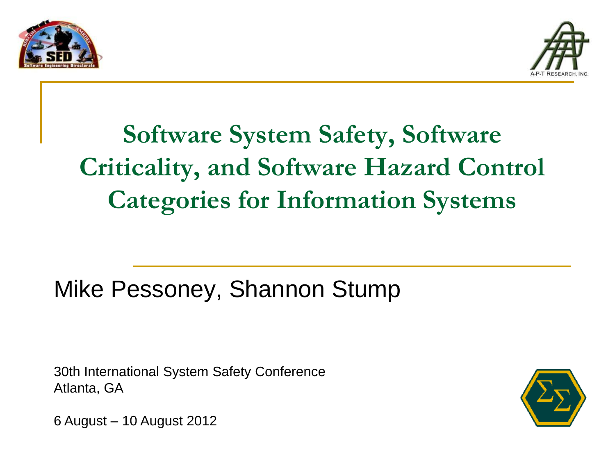



# **Software System Safety, Software Criticality, and Software Hazard Control Categories for Information Systems**

#### Mike Pessoney, Shannon Stump

30th International System Safety Conference Atlanta, GA



6 August – 10 August 2012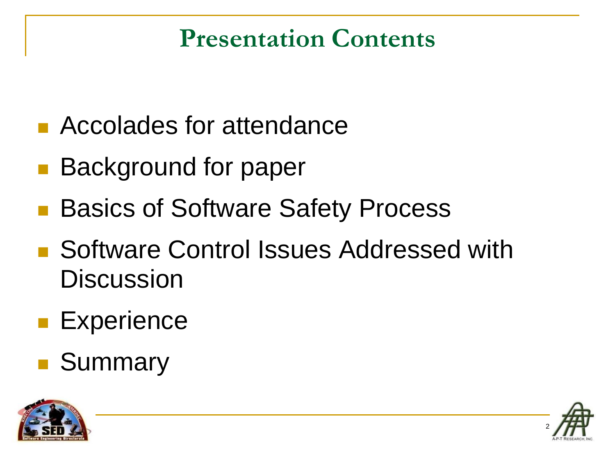#### **Presentation Contents**

- **Accolades for attendance**
- **Background for paper**
- Basics of Software Safety Process
- Software Control Issues Addressed with **Discussion**
- **Experience**
- Summary



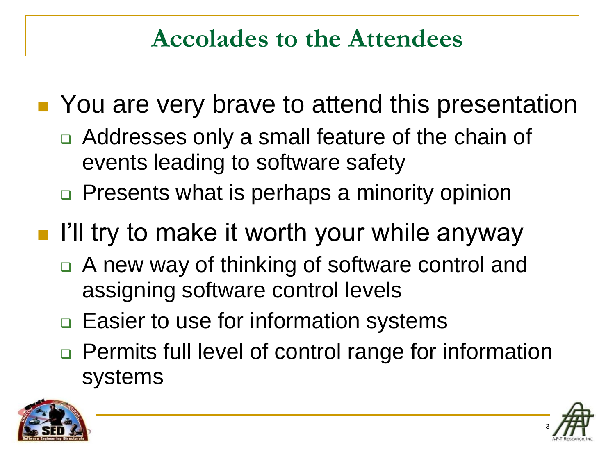#### **Accolades to the Attendees**

■ You are very brave to attend this presentation

- Addresses only a small feature of the chain of events leading to software safety
- □ Presents what is perhaps a minority opinion

# **I'll try to make it worth your while anyway**

- A new way of thinking of software control and assigning software control levels
- **□ Easier to use for information systems**
- □ Permits full level of control range for information systems



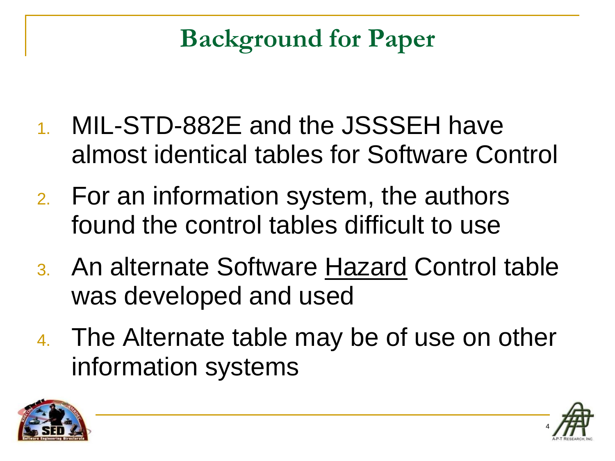# **Background for Paper**

- 1. MIL-STD-882E and the JSSSEH have almost identical tables for Software Control
- 2. For an information system, the authors found the control tables difficult to use
- 3. An alternate Software Hazard Control table was developed and used
- 4. The Alternate table may be of use on other information systems



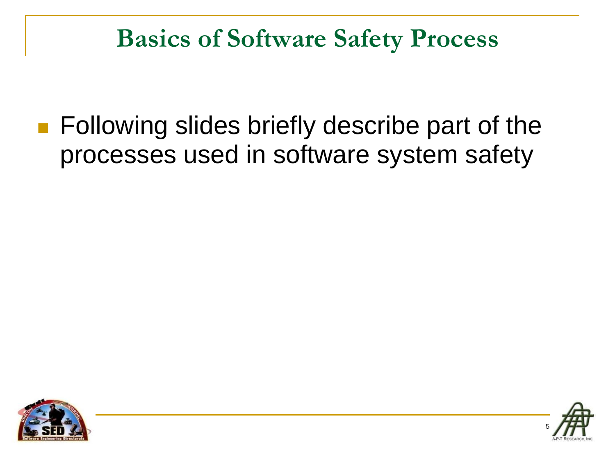#### **Basics of Software Safety Process**

**Following slides briefly describe part of the** processes used in software system safety



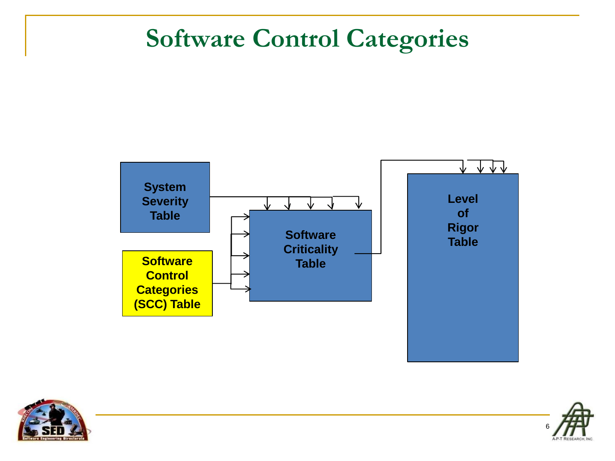#### **Software Control Categories**





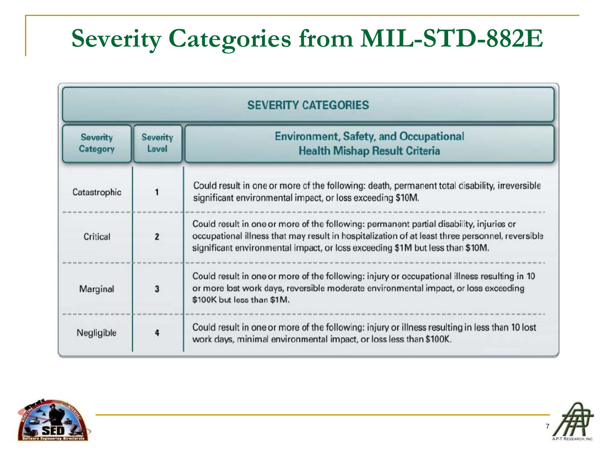# **Severity Categories from MIL-STD-882E**

| <b>SEVERITY CATEGORIES</b>  |                          |                                                                                                                                                                                                                                                                             |
|-----------------------------|--------------------------|-----------------------------------------------------------------------------------------------------------------------------------------------------------------------------------------------------------------------------------------------------------------------------|
| <b>Severity</b><br>Category | <b>Severity</b><br>Level | <b>Environment, Safety, and Occupational</b><br><b>Health Mishap Result Criteria</b>                                                                                                                                                                                        |
| Catastrophic                | 1                        | Could result in one or more of the following: death, permanent total disability, irreversible<br>significant environmental impact, or loss exceeding \$10M.                                                                                                                 |
| Critical                    | $\overline{2}$           | Could result in one or more of the following: permanent partial disability, injuries or<br>occupational illness that may result in hospitalization of at least three personnel, reversible<br>significant environmental impact, or loss exceeding \$1M but less than \$10M. |
| Marginal                    | 3                        | Could result in one or more of the following: injury or occupational illness resulting in 10<br>or more lost work days, reversible moderate environmental impact, or loss exceeding<br>\$100K but less than \$1M.                                                           |
| Negligible                  | 4                        | Could result in one or more of the following: injury or illness resulting in less than 10 lost<br>work days, minimal environmental impact, or loss less than \$100K.                                                                                                        |



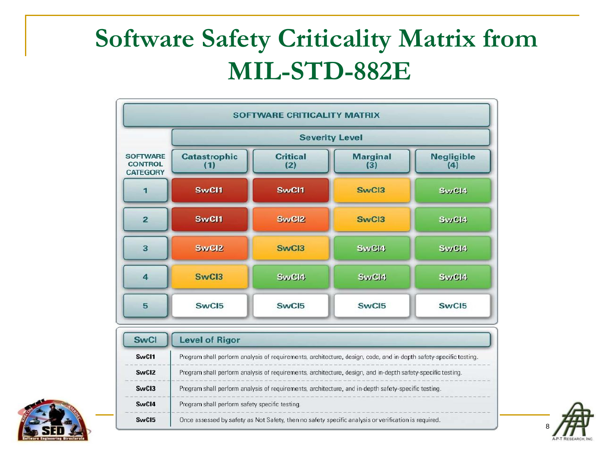# **Software Safety Criticality Matrix from MIL-STD-882E**





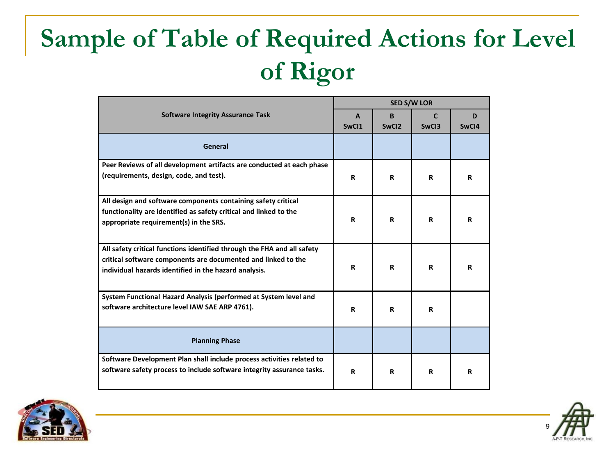# **Sample of Table of Required Actions for Level of Rigor**

|                                                                         |              | <b>SED S/W LOR</b> |       |       |  |
|-------------------------------------------------------------------------|--------------|--------------------|-------|-------|--|
| <b>Software Integrity Assurance Task</b>                                | $\mathbf{A}$ | B.                 | C     | D     |  |
|                                                                         | SwCI1        | SwC <sub>12</sub>  | SwCI3 | SwCI4 |  |
| General                                                                 |              |                    |       |       |  |
| Peer Reviews of all development artifacts are conducted at each phase   |              |                    |       |       |  |
| (requirements, design, code, and test).                                 | R            | R                  | R     | R     |  |
| All design and software components containing safety critical           |              |                    |       |       |  |
| functionality are identified as safety critical and linked to the       |              |                    |       |       |  |
| appropriate requirement(s) in the SRS.                                  | R            | R                  | R     | R     |  |
| All safety critical functions identified through the FHA and all safety |              |                    |       |       |  |
| critical software components are documented and linked to the           |              |                    |       |       |  |
| individual hazards identified in the hazard analysis.                   | R            | R                  | R     | R     |  |
| System Functional Hazard Analysis (performed at System level and        |              |                    |       |       |  |
| software architecture level IAW SAE ARP 4761).                          | R            | R                  | R     |       |  |
| <b>Planning Phase</b>                                                   |              |                    |       |       |  |
| Software Development Plan shall include process activities related to   |              |                    |       |       |  |
| software safety process to include software integrity assurance tasks.  | R            | R                  | R     | R     |  |



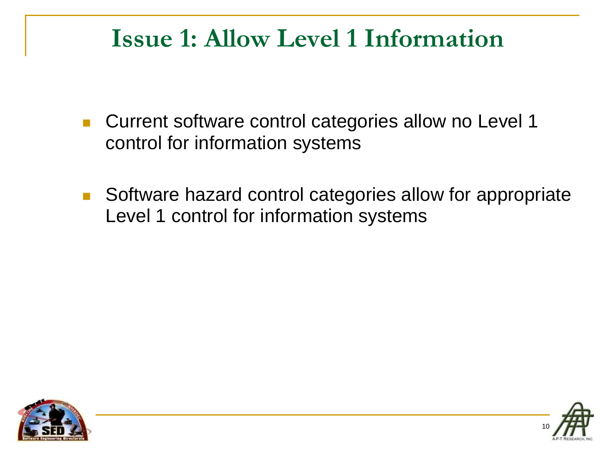#### **Issue 1: Allow Level 1 Information**

- Current software control categories allow no Level 1 control for information systems
- Software hazard control categories allow for appropriate Level 1 control for information systems



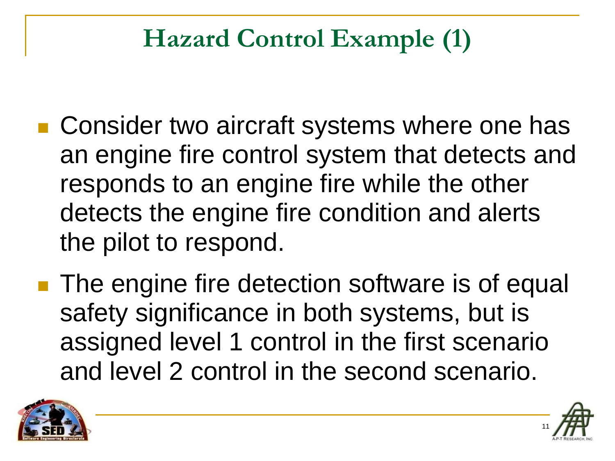# **Hazard Control Example (1)**

- Consider two aircraft systems where one has an engine fire control system that detects and responds to an engine fire while the other detects the engine fire condition and alerts the pilot to respond.
- **The engine fire detection software is of equal** safety significance in both systems, but is assigned level 1 control in the first scenario and level 2 control in the second scenario.



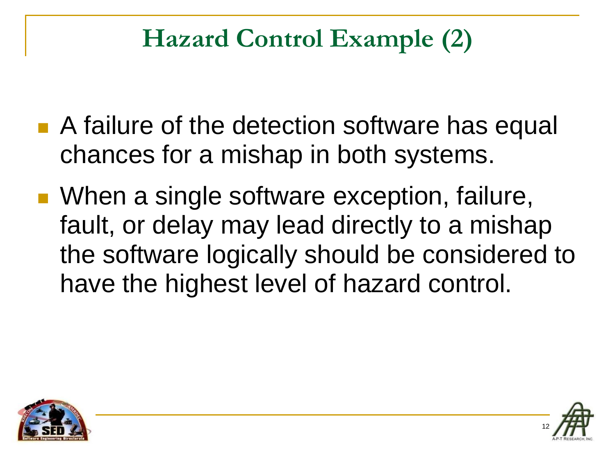# **Hazard Control Example (2)**

- A failure of the detection software has equal chances for a mishap in both systems.
- When a single software exception, failure, fault, or delay may lead directly to a mishap the software logically should be considered to have the highest level of hazard control.



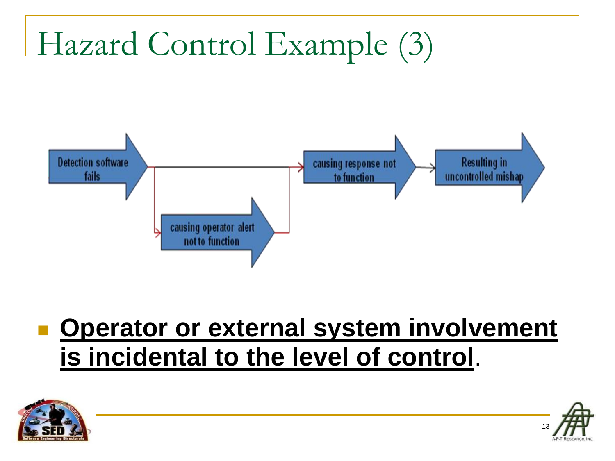# Hazard Control Example (3)



### ■ Operator or external system involvement **is incidental to the level of control**.



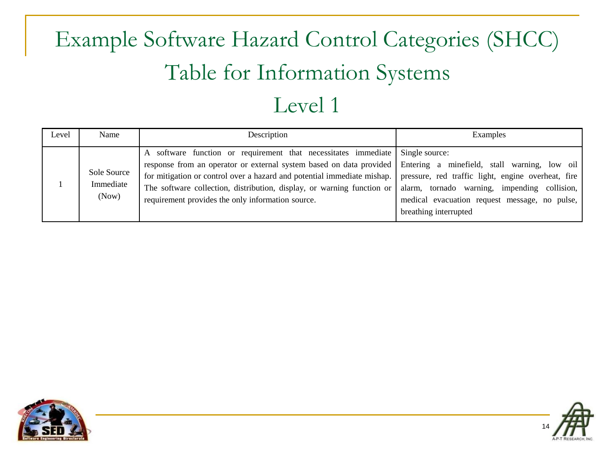# Example Software Hazard Control Categories (SHCC) Table for Information Systems

#### Level 1

| Level | Name                              | Description                                                                                                                                                                                                                                                                                                                                                                                  | Examples                                                                                                                                                                                             |
|-------|-----------------------------------|----------------------------------------------------------------------------------------------------------------------------------------------------------------------------------------------------------------------------------------------------------------------------------------------------------------------------------------------------------------------------------------------|------------------------------------------------------------------------------------------------------------------------------------------------------------------------------------------------------|
|       | Sole Source<br>Immediate<br>(Now) | A software function or requirement that necessitates immediate<br>response from an operator or external system based on data provided Entering a minefield, stall warning, low oil<br>for mitigation or control over a hazard and potential immediate mishap.<br>The software collection, distribution, display, or warning function or<br>requirement provides the only information source. | Single source:<br>pressure, red traffic light, engine overheat, fire<br>tornado warning, impending<br>collision,<br>alarm.<br>medical evacuation request message, no pulse,<br>breathing interrupted |



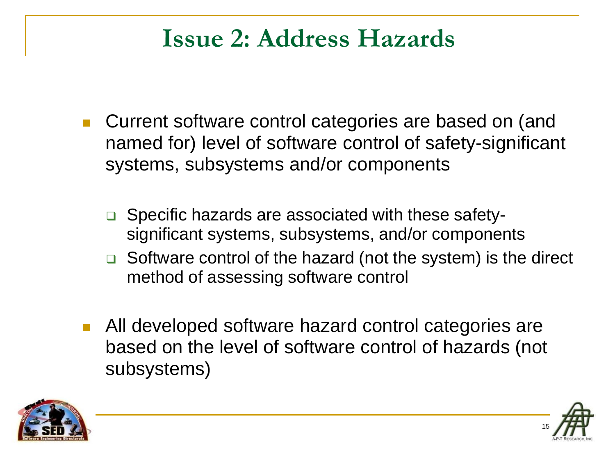#### **Issue 2: Address Hazards**

- Current software control categories are based on (and named for) level of software control of safety-significant systems, subsystems and/or components
	- □ Specific hazards are associated with these safetysignificant systems, subsystems, and/or components
	- $\Box$  Software control of the hazard (not the system) is the direct method of assessing software control
- All developed software hazard control categories are based on the level of software control of hazards (not subsystems)



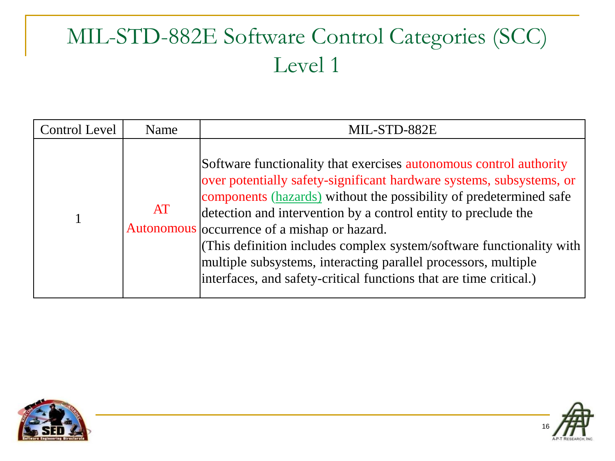#### MIL-STD-882E Software Control Categories (SCC) Level 1

| <b>Control Level</b> | Name | MIL-STD-882E                                                                                                                                                                                                                                                                                                                                                                                                                                                                                                                                               |
|----------------------|------|------------------------------------------------------------------------------------------------------------------------------------------------------------------------------------------------------------------------------------------------------------------------------------------------------------------------------------------------------------------------------------------------------------------------------------------------------------------------------------------------------------------------------------------------------------|
|                      | AT   | Software functionality that exercises autonomous control authority<br>over potentially safety-significant hardware systems, subsystems, or<br>components (hazards) without the possibility of predetermined safe<br>detection and intervention by a control entity to preclude the<br>Autonomous occurrence of a mishap or hazard.<br>(This definition includes complex system/software functionality with $\vert$<br>multiple subsystems, interacting parallel processors, multiple<br>interfaces, and safety-critical functions that are time critical.) |



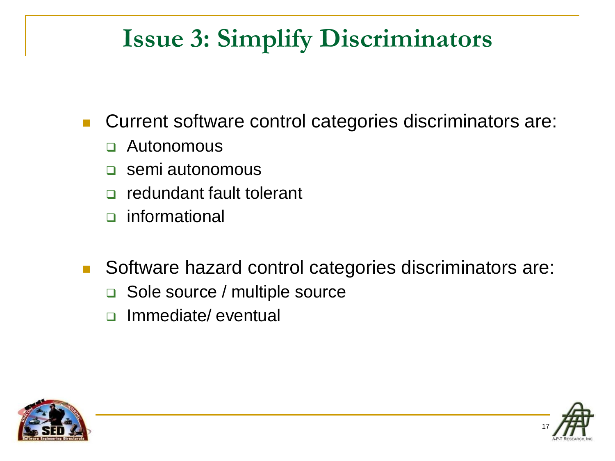### **Issue 3: Simplify Discriminators**

Current software control categories discriminators are:

- Autonomous
- **<u>D</u>** semi autonomous
- **n** redundant fault tolerant
- informational
- Software hazard control categories discriminators are:
	- □ Sole source / multiple source
	- n Immediate/ eventual



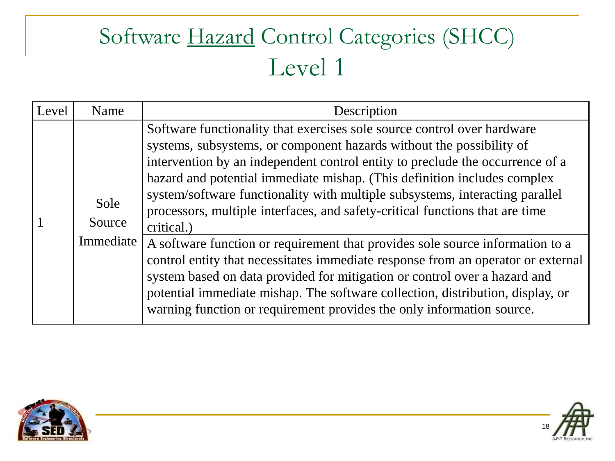#### Software Hazard Control Categories (SHCC) Level 1

| Level | Name                        | Description                                                                                                                                                                                                                                                                                                                                                                                                                                                                                                                                                                                                                                                                                                                                                                                                                                                                                             |
|-------|-----------------------------|---------------------------------------------------------------------------------------------------------------------------------------------------------------------------------------------------------------------------------------------------------------------------------------------------------------------------------------------------------------------------------------------------------------------------------------------------------------------------------------------------------------------------------------------------------------------------------------------------------------------------------------------------------------------------------------------------------------------------------------------------------------------------------------------------------------------------------------------------------------------------------------------------------|
|       | Sole<br>Source<br>Immediate | Software functionality that exercises sole source control over hardware<br>systems, subsystems, or component hazards without the possibility of<br>intervention by an independent control entity to preclude the occurrence of a<br>hazard and potential immediate mishap. (This definition includes complex<br>system/software functionality with multiple subsystems, interacting parallel<br>processors, multiple interfaces, and safety-critical functions that are time<br>critical.)<br>A software function or requirement that provides sole source information to a<br>control entity that necessitates immediate response from an operator or external<br>system based on data provided for mitigation or control over a hazard and<br>potential immediate mishap. The software collection, distribution, display, or<br>warning function or requirement provides the only information source. |



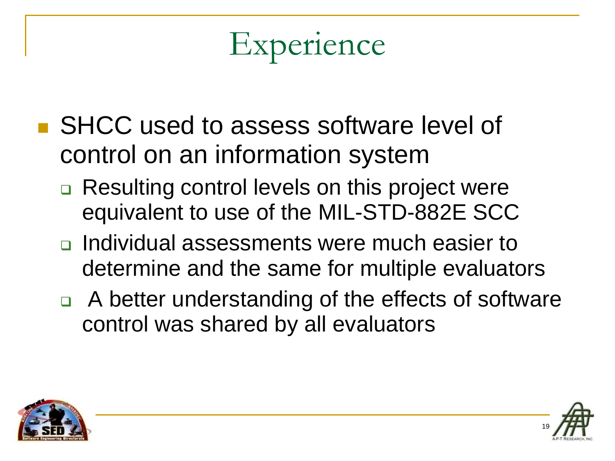# Experience

- SHCC used to assess software level of control on an information system
	- **□ Resulting control levels on this project were** equivalent to use of the MIL-STD-882E SCC
	- **□** Individual assessments were much easier to determine and the same for multiple evaluators
	- $\Box$  A better understanding of the effects of software control was shared by all evaluators